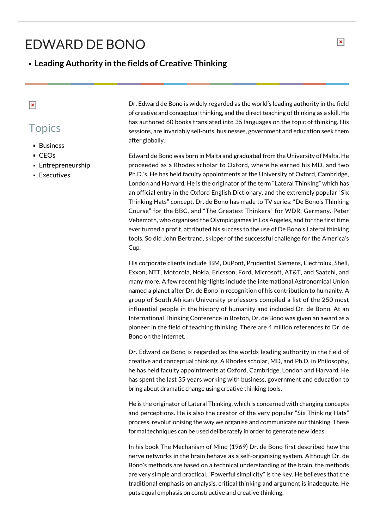## EDWARD DE BONO

## **Leading Authority in the fields of Creative Thinking**

## $\pmb{\times}$

## **Topics**

- **Business**
- CEOs
- Entrepreneurship
- **Executives**

Dr. Edward de Bono is widely regarded as the world's leading authority in the field of creative and conceptual thinking, and the direct teaching of thinking as a skill. He has authored 60 books translated into 35 languages on the topic of thinking. His sessions, are invariably sell-outs, businesses, government and education seek them after globally.

Edward de Bono was born in Malta and graduated from the University of Malta. He proceeded as a Rhodes scholar to Oxford, where he earned his MD, and two Ph.D.'s. He has held faculty appointments at the University of Oxford, Cambridge, London and Harvard. He is the originator of the term "Lateral Thinking" which has an official entry in the Oxford English Dictionary, and the extremely popular "Six Thinking Hats" concept. Dr. de Bono has made to TV series: "De Bono's Thinking Course" for the BBC, and "The Greatest Thinkers" for WDR, Germany. Peter Veberroth, who organised the Olympic games in Los Angeles, and for the first time ever turned a profit, attributed his success to the use of De Bono's Lateral thinking tools. So did John Bertrand, skipper of the successful challenge for the America's Cup.

His corporate clients include IBM, DuPont, Prudential, Siemens, Electrolux, Shell, Exxon, NTT, Motorola, Nokia, Ericsson, Ford, Microsoft, AT&T, and Saatchi, and many more. A few recent highlights include the international Astronomical Union named a planet after Dr. de Bono in recognition of his contribution to humanity. A group of South African University professors compiled a list of the 250 most influential people in the history of humanity and included Dr. de Bono. At an International Thinking Conference in Boston, Dr. de Bono was given an award as a pioneer in the field of teaching thinking. There are 4 million references to Dr. de Bono on the Internet.

Dr. Edward de Bono is regarded as the worlds leading authority in the field of creative and conceptual thinking. A Rhodes scholar, MD, and Ph.D. in Philosophy, he has held faculty appointments at Oxford, Cambridge, London and Harvard. He has spent the last 35 years working with business, government and education to bring about dramatic change using creative thinking tools.

He is the originator of Lateral Thinking, which is concerned with changing concepts and perceptions. He is also the creator of the very popular "Six Thinking Hats" process, revolutionising the way we organise and communicate our thinking. These formal techniques can be used deliberately in order to generate new ideas.

In his book The Mechanism of Mind (1969) Dr. de Bono first described how the nerve networks in the brain behave as a self-organising system. Although Dr. de Bono's methods are based on a technical understanding of the brain, the methods are very simple and practical. "Powerful simplicity" is the key. He believes that the traditional emphasis on analysis, critical thinking and argument is inadequate. He puts equal emphasis on constructive and creative thinking.

 $\pmb{\times}$